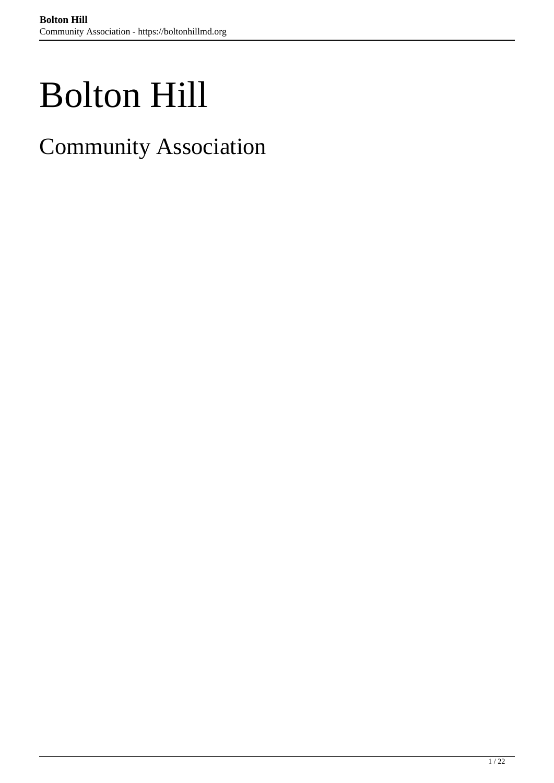# Bolton Hill

Community Association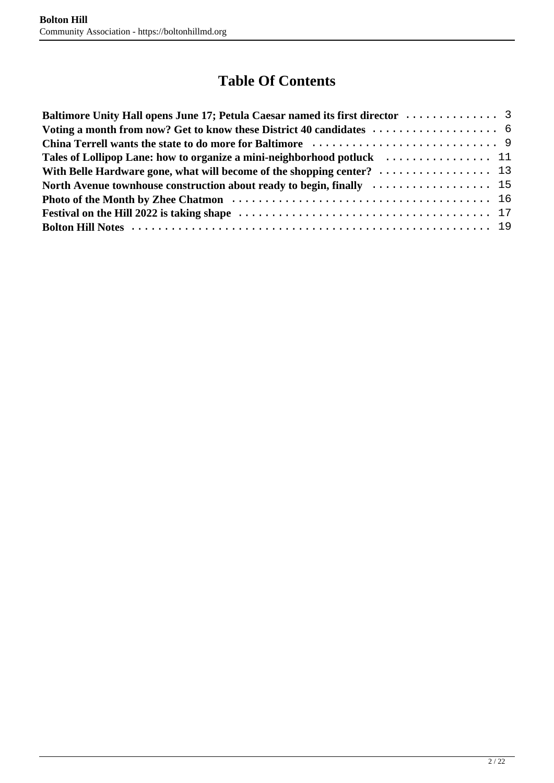### **Table Of Contents**

| With Belle Hardware gone, what will become of the shopping center? $\dots\dots\dots\dots\dots\dots$ 13  |  |
|---------------------------------------------------------------------------------------------------------|--|
| North Avenue townhouse construction about ready to begin, finally $\dots\dots\dots\dots\dots\dots\dots$ |  |
|                                                                                                         |  |
|                                                                                                         |  |
|                                                                                                         |  |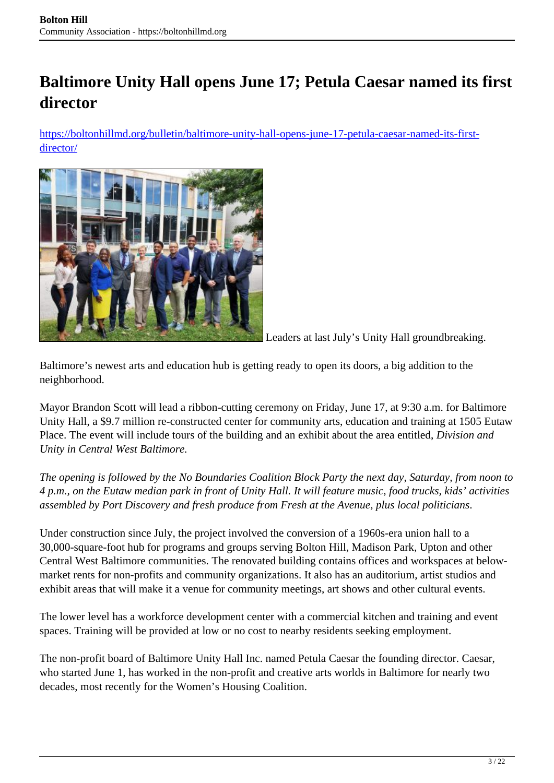# <span id="page-2-0"></span>**Baltimore Unity Hall opens June 17; Petula Caesar named its first director**

[https://boltonhillmd.org/bulletin/baltimore-unity-hall-opens-june-17-petula-caesar-named-its-first](https://boltonhillmd.org/bulletin/baltimore-unity-hall-opens-june-17-petula-caesar-named-its-first-director/)[director/](https://boltonhillmd.org/bulletin/baltimore-unity-hall-opens-june-17-petula-caesar-named-its-first-director/)



Leaders at last July's Unity Hall groundbreaking.

Baltimore's newest arts and education hub is getting ready to open its doors, a big addition to the neighborhood.

Mayor Brandon Scott will lead a ribbon-cutting ceremony on Friday, June 17, at 9:30 a.m. for Baltimore Unity Hall, a \$9.7 million re-constructed center for community arts, education and training at 1505 Eutaw Place. The event will include tours of the building and an exhibit about the area entitled, *Division and Unity in Central West Baltimore.*

*The opening is followed by the No Boundaries Coalition Block Party the next day, Saturday, from noon to 4 p.m., on the Eutaw median park in front of Unity Hall. It will feature music, food trucks, kids' activities assembled by Port Discovery and fresh produce from Fresh at the Avenue, plus local politicians*.

Under construction since July, the project involved the conversion of a 1960s-era union hall to a 30,000-square-foot hub for programs and groups serving Bolton Hill, Madison Park, Upton and other Central West Baltimore communities. The renovated building contains offices and workspaces at belowmarket rents for non-profits and community organizations. It also has an auditorium, artist studios and exhibit areas that will make it a venue for community meetings, art shows and other cultural events.

The lower level has a workforce development center with a commercial kitchen and training and event spaces. Training will be provided at low or no cost to nearby residents seeking employment.

The non-profit board of Baltimore Unity Hall Inc. named Petula Caesar the founding director. Caesar, who started June 1, has worked in the non-profit and creative arts worlds in Baltimore for nearly two decades, most recently for the Women's Housing Coalition.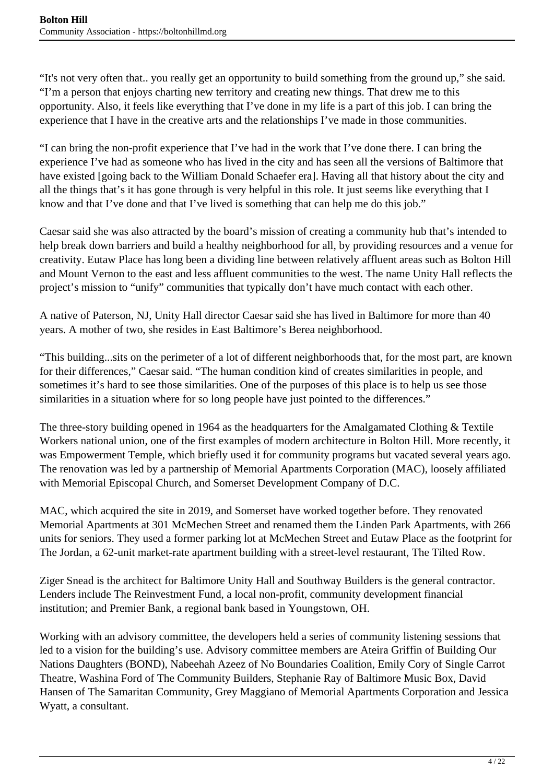"It's not very often that.. you really get an opportunity to build something from the ground up," she said. "I'm a person that enjoys charting new territory and creating new things. That drew me to this opportunity. Also, it feels like everything that I've done in my life is a part of this job. I can bring the experience that I have in the creative arts and the relationships I've made in those communities.

"I can bring the non-profit experience that I've had in the work that I've done there. I can bring the experience I've had as someone who has lived in the city and has seen all the versions of Baltimore that have existed [going back to the William Donald Schaefer era]. Having all that history about the city and all the things that's it has gone through is very helpful in this role. It just seems like everything that I know and that I've done and that I've lived is something that can help me do this job."

Caesar said she was also attracted by the board's mission of creating a community hub that's intended to help break down barriers and build a healthy neighborhood for all, by providing resources and a venue for creativity. Eutaw Place has long been a dividing line between relatively affluent areas such as Bolton Hill and Mount Vernon to the east and less affluent communities to the west. The name Unity Hall reflects the project's mission to "unify" communities that typically don't have much contact with each other.

A native of Paterson, NJ, Unity Hall director Caesar said she has lived in Baltimore for more than 40 years. A mother of two, she resides in East Baltimore's Berea neighborhood.

"This building...sits on the perimeter of a lot of different neighborhoods that, for the most part, are known for their differences," Caesar said. "The human condition kind of creates similarities in people, and sometimes it's hard to see those similarities. One of the purposes of this place is to help us see those similarities in a situation where for so long people have just pointed to the differences."

The three-story building opened in 1964 as the headquarters for the Amalgamated Clothing & Textile Workers national union, one of the first examples of modern architecture in Bolton Hill. More recently, it was Empowerment Temple, which briefly used it for community programs but vacated several years ago. The renovation was led by a partnership of Memorial Apartments Corporation (MAC), loosely affiliated with Memorial Episcopal Church, and Somerset Development Company of D.C.

MAC, which acquired the site in 2019, and Somerset have worked together before. They renovated Memorial Apartments at 301 McMechen Street and renamed them the Linden Park Apartments, with 266 units for seniors. They used a former parking lot at McMechen Street and Eutaw Place as the footprint for The Jordan, a 62-unit market-rate apartment building with a street-level restaurant, The Tilted Row.

Ziger Snead is the architect for Baltimore Unity Hall and Southway Builders is the general contractor. Lenders include The Reinvestment Fund, a local non-profit, community development financial institution; and Premier Bank, a regional bank based in Youngstown, OH.

Working with an advisory committee, the developers held a series of community listening sessions that led to a vision for the building's use. Advisory committee members are Ateira Griffin of Building Our Nations Daughters (BOND), Nabeehah Azeez of No Boundaries Coalition, Emily Cory of Single Carrot Theatre, Washina Ford of The Community Builders, Stephanie Ray of Baltimore Music Box, David Hansen of The Samaritan Community, Grey Maggiano of Memorial Apartments Corporation and Jessica Wyatt, a consultant.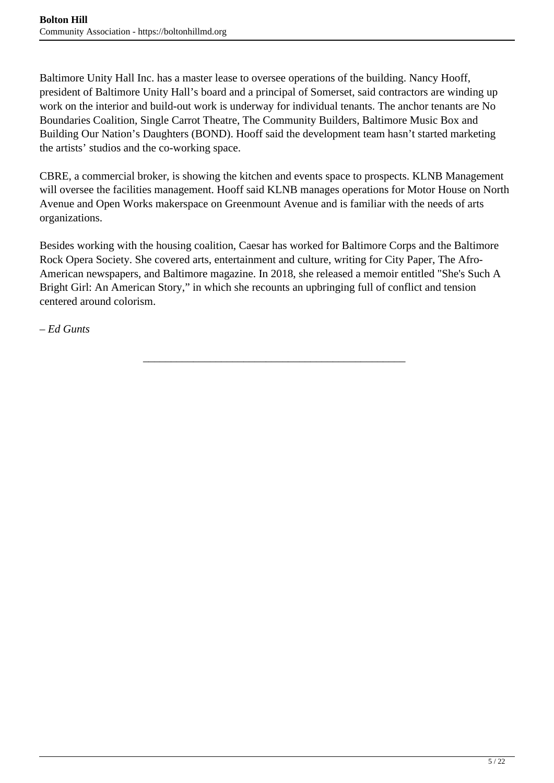Baltimore Unity Hall Inc. has a master lease to oversee operations of the building. Nancy Hooff, president of Baltimore Unity Hall's board and a principal of Somerset, said contractors are winding up work on the interior and build-out work is underway for individual tenants. The anchor tenants are No Boundaries Coalition, Single Carrot Theatre, The Community Builders, Baltimore Music Box and Building Our Nation's Daughters (BOND). Hooff said the development team hasn't started marketing the artists' studios and the co-working space.

CBRE, a commercial broker, is showing the kitchen and events space to prospects. KLNB Management will oversee the facilities management. Hooff said KLNB manages operations for Motor House on North Avenue and Open Works makerspace on Greenmount Avenue and is familiar with the needs of arts organizations.

Besides working with the housing coalition, Caesar has worked for Baltimore Corps and the Baltimore Rock Opera Society. She covered arts, entertainment and culture, writing for City Paper, The Afro-American newspapers, and Baltimore magazine. In 2018, she released a memoir entitled "She's Such A Bright Girl: An American Story," in which she recounts an upbringing full of conflict and tension centered around colorism.

\_\_\_\_\_\_\_\_\_\_\_\_\_\_\_\_\_\_\_\_\_\_\_\_\_\_\_\_\_\_\_\_\_\_\_\_\_\_\_\_\_\_\_\_\_\_\_

*– Ed Gunts*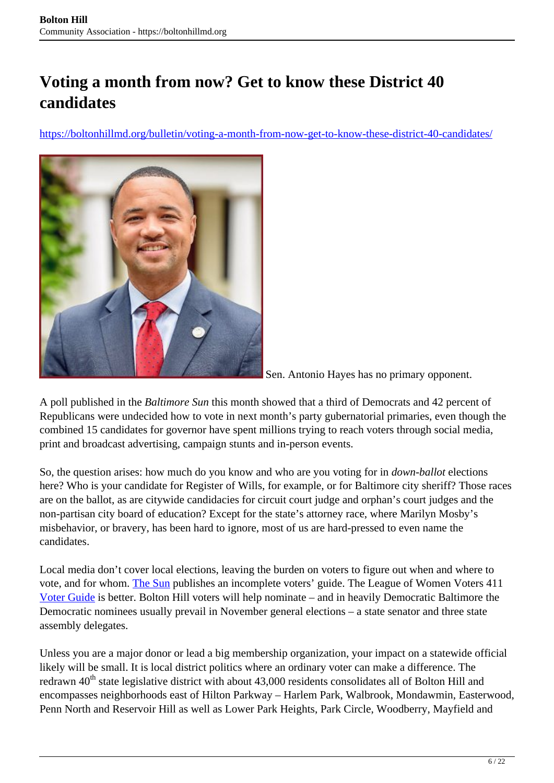# <span id="page-5-0"></span>**Voting a month from now? Get to know these District 40 candidates**

https://boltonhillmd.org/bulletin/voting-a-month-from-now-get-to-know-these-district-40-candidates/



Sen. Antonio Hayes has no primary opponent.

A poll published in the *Baltimore Sun* this month showed that a third of Democrats and 42 percent of Republicans were undecided how to vote in next month's party gubernatorial primaries, even though the combined 15 candidates for governor have spent millions trying to reach voters through social media, print and broadcast advertising, campaign stunts and in-person events.

So, the question arises: how much do you know and who are you voting for in *down-ballot* elections here? Who is your candidate for Register of Wills, for example, or for Baltimore city sheriff? Those races are on the ballot, as are citywide candidacies for circuit court judge and orphan's court judges and the non-partisan city board of education? Except for the state's attorney race, where Marilyn Mosby's misbehavior, or bravery, has been hard to ignore, most of us are hard-pressed to even name the candidates.

Local media don't cover local elections, leaving the burden on voters to figure out when and where to vote, and for whom. The Sun publishes an incomplete voters' guide. The League of Women Voters 411 Voter Guide is better. Bolton Hill voters will help nominate – and in heavily Democratic Baltimore the Democratic nominees usually prevail in November general elections – a state senator and three state assembly delegates.

Unless you are a major donor or lead a big membership organization, your impact on a statewide official likely will be small. It is local district politics where an ordinary voter can make a difference. The redrawn 40<sup>th</sup> state legislative district with about 43,000 residents consolidates all of Bolton Hill and encompasses neighborhoods east of Hilton Parkway – Harlem Park, Walbrook, Mondawmin, Easterwood, Penn North and Reservoir Hill as well as Lower Park Heights, Park Circle, Woodberry, Mayfield and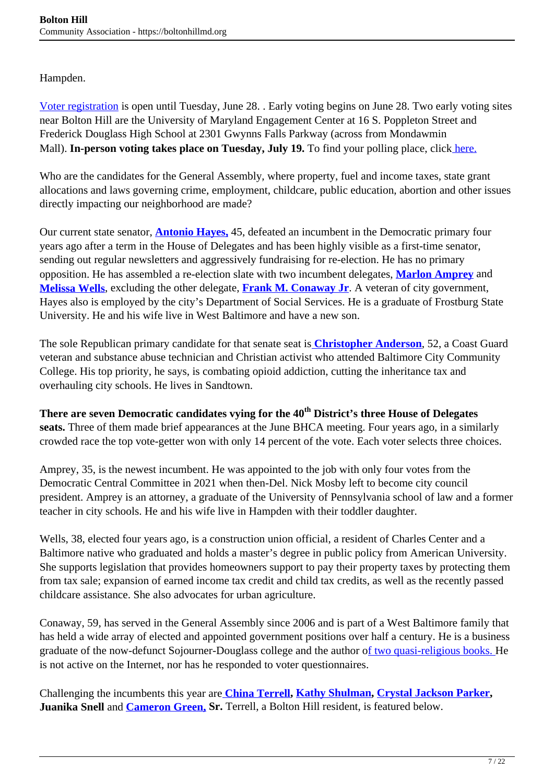Hampden.

Voter registration is open until Tuesday, June 28. . Early voting begins on June 28. Two early voting sites near Bolton Hill are the University of Maryland Engagement Center at 16 S. Poppleton Street and Frederick Douglass High School at 2301 Gwynns Falls Parkway (across from Mondawmin Mall). **In-person voting takes place on Tuesday, July 19.** To find your polling place, click here.

Who are the candidates for the General Assembly, where property, fuel and income taxes, state grant allocations and laws governing crime, employment, childcare, public education, abortion and other issues directly impacting our neighborhood are made?

Our current state senator, **Antonio Hayes,** 45, defeated an incumbent in the Democratic primary four years ago after a term in the House of Delegates and has been highly visible as a first-time senator, sending out regular newsletters and aggressively fundraising for re-election. He has no primary opposition. He has assembled a re-election slate with two incumbent delegates, **Marlon Amprey** and **Melissa Wells**, excluding the other delegate, **Frank M. Conaway Jr**. A veteran of city government, Hayes also is employed by the city's Department of Social Services. He is a graduate of Frostburg State University. He and his wife live in West Baltimore and have a new son.

The sole Republican primary candidate for that senate seat is **Christopher Anderson**, 52, a Coast Guard veteran and substance abuse technician and Christian activist who attended Baltimore City Community College. His top priority, he says, is combating opioid addiction, cutting the inheritance tax and overhauling city schools. He lives in Sandtown.

**There are seven Democratic candidates vying for the 40th District's three House of Delegates seats.** Three of them made brief appearances at the June BHCA meeting. Four years ago, in a similarly crowded race the top vote-getter won with only 14 percent of the vote. Each voter selects three choices.

Amprey, 35, is the newest incumbent. He was appointed to the job with only four votes from the Democratic Central Committee in 2021 when then-Del. Nick Mosby left to become city council president. Amprey is an attorney, a graduate of the University of Pennsylvania school of law and a former teacher in city schools. He and his wife live in Hampden with their toddler daughter.

Wells, 38, elected four years ago, is a construction union official, a resident of Charles Center and a Baltimore native who graduated and holds a master's degree in public policy from American University. She supports legislation that provides homeowners support to pay their property taxes by protecting them from tax sale; expansion of earned income tax credit and child tax credits, as well as the recently passed childcare assistance. She also advocates for urban agriculture.

Conaway, 59, has served in the General Assembly since 2006 and is part of a West Baltimore family that has held a wide array of elected and appointed government positions over half a century. He is a business graduate of the now-defunct Sojourner-Douglass college and the author of two quasi-religious books. He is not active on the Internet, nor has he responded to voter questionnaires.

Challenging the incumbents this year are **China Terrell, Kathy Shulman, Crystal Jackson Parker, Juanika Snell** and **Cameron Green, Sr.** Terrell, a Bolton Hill resident, is featured below.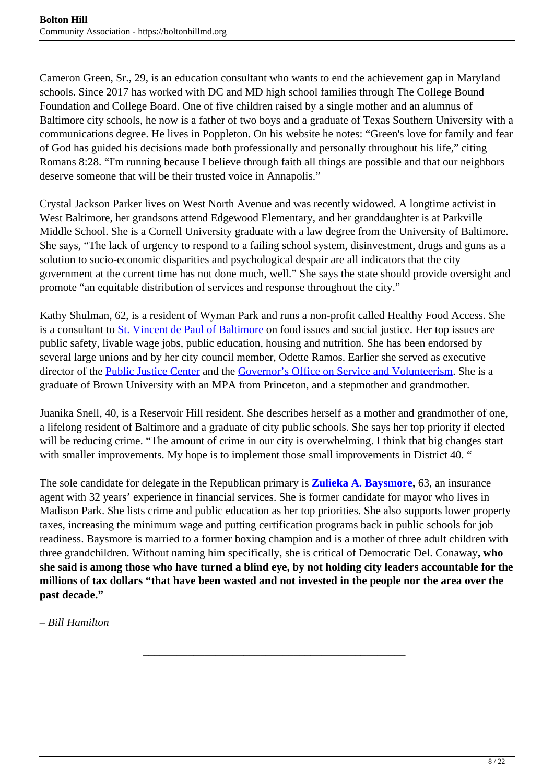Cameron Green, Sr., 29, is an education consultant who wants to end the achievement gap in Maryland schools. Since 2017 has worked with DC and MD high school families through The College Bound Foundation and College Board. One of five children raised by a single mother and an alumnus of Baltimore city schools, he now is a father of two boys and a graduate of Texas Southern University with a communications degree. He lives in Poppleton. On his website he notes: "Green's love for family and fear of God has guided his decisions made both professionally and personally throughout his life," citing Romans 8:28. "I'm running because I believe through faith all things are possible and that our neighbors deserve someone that will be their trusted voice in Annapolis."

Crystal Jackson Parker lives on West North Avenue and was recently widowed. A longtime activist in West Baltimore, her grandsons attend Edgewood Elementary, and her granddaughter is at Parkville Middle School. She is a Cornell University graduate with a law degree from the University of Baltimore. She says, "The lack of urgency to respond to a failing school system, disinvestment, drugs and guns as a solution to socio-economic disparities and psychological despair are all indicators that the city government at the current time has not done much, well." She says the state should provide oversight and promote "an equitable distribution of services and response throughout the city."

Kathy Shulman, 62, is a resident of Wyman Park and runs a non-profit called Healthy Food Access. She is a consultant to St. Vincent de Paul of Baltimore on food issues and social justice. Her top issues are public safety, livable wage jobs, public education, housing and nutrition. She has been endorsed by several large unions and by her city council member, Odette Ramos. Earlier she served as executive director of the Public Justice Center and the Governor's Office on Service and Volunteerism. She is a graduate of Brown University with an MPA from Princeton, and a stepmother and grandmother.

Juanika Snell, 40, is a Reservoir Hill resident. She describes herself as a mother and grandmother of one, a lifelong resident of Baltimore and a graduate of city public schools. She says her top priority if elected will be reducing crime. "The amount of crime in our city is overwhelming. I think that big changes start with smaller improvements. My hope is to implement those small improvements in District 40. "

The sole candidate for delegate in the Republican primary is **Zulieka A. Baysmore,** 63, an insurance agent with 32 years' experience in financial services. She is former candidate for mayor who lives in Madison Park. She lists crime and public education as her top priorities. She also supports lower property taxes, increasing the minimum wage and putting certification programs back in public schools for job readiness. Baysmore is married to a former boxing champion and is a mother of three adult children with three grandchildren. Without naming him specifically, she is critical of Democratic Del. Conaway**, who she said is among those who have turned a blind eye, by not holding city leaders accountable for the millions of tax dollars "that have been wasted and not invested in the people nor the area over the past decade."**

\_\_\_\_\_\_\_\_\_\_\_\_\_\_\_\_\_\_\_\_\_\_\_\_\_\_\_\_\_\_\_\_\_\_\_\_\_\_\_\_\_\_\_\_\_\_\_

*– Bill Hamilton*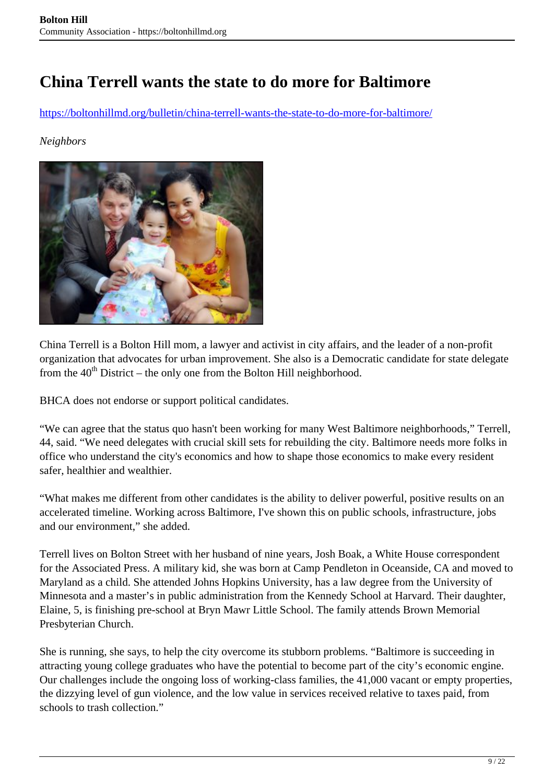### <span id="page-8-0"></span>**China Terrell wants the state to do more for Baltimore**

https://boltonhillmd.org/bulletin/china-terrell-wants-the-state-to-do-more-for-baltimore/

#### *Neighbors*



China Terrell is a Bolton Hill mom, a lawyer and activist in city affairs, and the leader of a non-profit organization that advocates for urban improvement. She also is a Democratic candidate for state delegate from the  $40<sup>th</sup>$  District – the only one from the Bolton Hill neighborhood.

BHCA does not endorse or support political candidates.

"We can agree that the status quo hasn't been working for many West Baltimore neighborhoods," Terrell, 44, said. "We need delegates with crucial skill sets for rebuilding the city. Baltimore needs more folks in office who understand the city's economics and how to shape those economics to make every resident safer, healthier and wealthier.

"What makes me different from other candidates is the ability to deliver powerful, positive results on an accelerated timeline. Working across Baltimore, I've shown this on public schools, infrastructure, jobs and our environment," she added.

Terrell lives on Bolton Street with her husband of nine years, Josh Boak, a White House correspondent for the Associated Press. A military kid, she was born at Camp Pendleton in Oceanside, CA and moved to Maryland as a child. She attended Johns Hopkins University, has a law degree from the University of Minnesota and a master's in public administration from the Kennedy School at Harvard. Their daughter, Elaine, 5, is finishing pre-school at Bryn Mawr Little School. The family attends Brown Memorial Presbyterian Church.

She is running, she says, to help the city overcome its stubborn problems. "Baltimore is succeeding in attracting young college graduates who have the potential to become part of the city's economic engine. Our challenges include the ongoing loss of working-class families, the 41,000 vacant or empty properties, the dizzying level of gun violence, and the low value in services received relative to taxes paid, from schools to trash collection."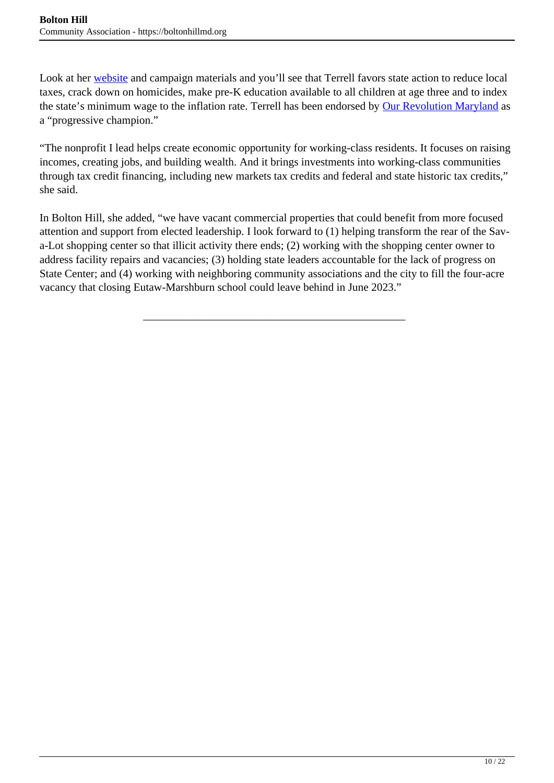Look at her website and campaign materials and you'll see that Terrell favors state action to reduce local taxes, crack down on homicides, make pre-K education available to all children at age three and to index the state's minimum wage to the inflation rate. Terrell has been endorsed by Our Revolution Maryland as a "progressive champion."

"The nonprofit I lead helps create economic opportunity for working-class residents. It focuses on raising incomes, creating jobs, and building wealth. And it brings investments into working-class communities through tax credit financing, including new markets tax credits and federal and state historic tax credits," she said.

In Bolton Hill, she added, "we have vacant commercial properties that could benefit from more focused attention and support from elected leadership. I look forward to (1) helping transform the rear of the Sava-Lot shopping center so that illicit activity there ends; (2) working with the shopping center owner to address facility repairs and vacancies; (3) holding state leaders accountable for the lack of progress on State Center; and (4) working with neighboring community associations and the city to fill the four-acre vacancy that closing Eutaw-Marshburn school could leave behind in June 2023."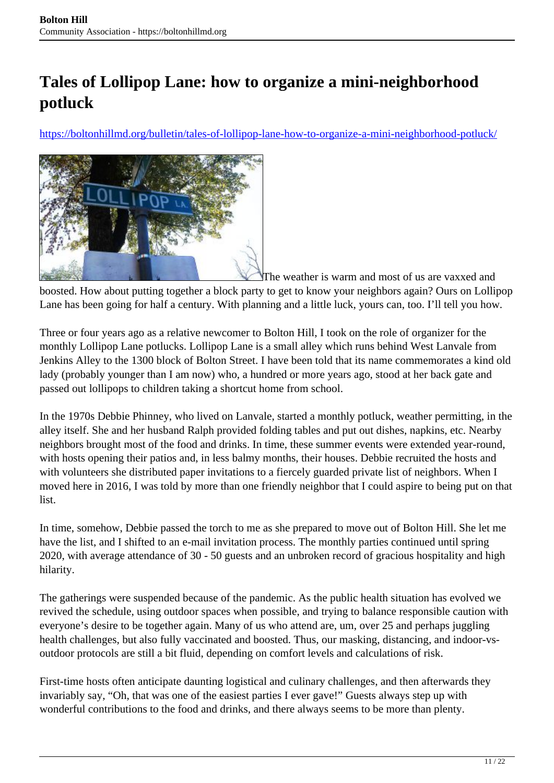# <span id="page-10-0"></span>**Tales of Lollipop Lane: how to organize a mini-neighborhood potluck**

https://boltonhillmd.org/bulletin/tales-of-lollipop-lane-how-to-organize-a-mini-neighborhood-potluck/



The weather is warm and most of us are vaxxed and boosted. How about putting together a block party to get to know your neighbors again? Ours on Lollipop Lane has been going for half a century. With planning and a little luck, yours can, too. I'll tell you how.

Three or four years ago as a relative newcomer to Bolton Hill, I took on the role of organizer for the monthly Lollipop Lane potlucks. Lollipop Lane is a small alley which runs behind West Lanvale from Jenkins Alley to the 1300 block of Bolton Street. I have been told that its name commemorates a kind old lady (probably younger than I am now) who, a hundred or more years ago, stood at her back gate and passed out lollipops to children taking a shortcut home from school.

In the 1970s Debbie Phinney, who lived on Lanvale, started a monthly potluck, weather permitting, in the alley itself. She and her husband Ralph provided folding tables and put out dishes, napkins, etc. Nearby neighbors brought most of the food and drinks. In time, these summer events were extended year-round, with hosts opening their patios and, in less balmy months, their houses. Debbie recruited the hosts and with volunteers she distributed paper invitations to a fiercely guarded private list of neighbors. When I moved here in 2016, I was told by more than one friendly neighbor that I could aspire to being put on that list.

In time, somehow, Debbie passed the torch to me as she prepared to move out of Bolton Hill. She let me have the list, and I shifted to an e-mail invitation process. The monthly parties continued until spring 2020, with average attendance of 30 - 50 guests and an unbroken record of gracious hospitality and high hilarity.

The gatherings were suspended because of the pandemic. As the public health situation has evolved we revived the schedule, using outdoor spaces when possible, and trying to balance responsible caution with everyone's desire to be together again. Many of us who attend are, um, over 25 and perhaps juggling health challenges, but also fully vaccinated and boosted. Thus, our masking, distancing, and indoor-vsoutdoor protocols are still a bit fluid, depending on comfort levels and calculations of risk.

First-time hosts often anticipate daunting logistical and culinary challenges, and then afterwards they invariably say, "Oh, that was one of the easiest parties I ever gave!" Guests always step up with wonderful contributions to the food and drinks, and there always seems to be more than plenty.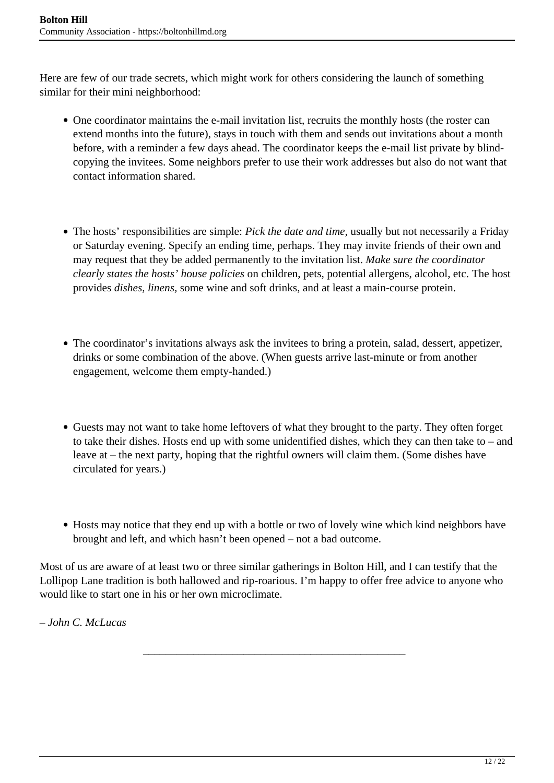Here are few of our trade secrets, which might work for others considering the launch of something similar for their mini neighborhood:

- One coordinator maintains the e-mail invitation list, recruits the monthly hosts (the roster can extend months into the future), stays in touch with them and sends out invitations about a month before, with a reminder a few days ahead. The coordinator keeps the e-mail list private by blindcopying the invitees. Some neighbors prefer to use their work addresses but also do not want that contact information shared.
- The hosts' responsibilities are simple: *Pick the date and time,* usually but not necessarily a Friday or Saturday evening. Specify an ending time, perhaps. They may invite friends of their own and may request that they be added permanently to the invitation list. *Make sure the coordinator clearly states the hosts' house policies* on children, pets, potential allergens, alcohol, etc. The host provides *dishes, linens,* some wine and soft drinks, and at least a main-course protein.
- The coordinator's invitations always ask the invitees to bring a protein, salad, dessert, appetizer, drinks or some combination of the above. (When guests arrive last-minute or from another engagement, welcome them empty-handed.)
- Guests may not want to take home leftovers of what they brought to the party. They often forget to take their dishes. Hosts end up with some unidentified dishes, which they can then take to – and leave at – the next party, hoping that the rightful owners will claim them. (Some dishes have circulated for years.)
- Hosts may notice that they end up with a bottle or two of lovely wine which kind neighbors have brought and left, and which hasn't been opened – not a bad outcome.

Most of us are aware of at least two or three similar gatherings in Bolton Hill, and I can testify that the Lollipop Lane tradition is both hallowed and rip-roarious. I'm happy to offer free advice to anyone who would like to start one in his or her own microclimate.

\_\_\_\_\_\_\_\_\_\_\_\_\_\_\_\_\_\_\_\_\_\_\_\_\_\_\_\_\_\_\_\_\_\_\_\_\_\_\_\_\_\_\_\_\_\_\_

*– John C. McLucas*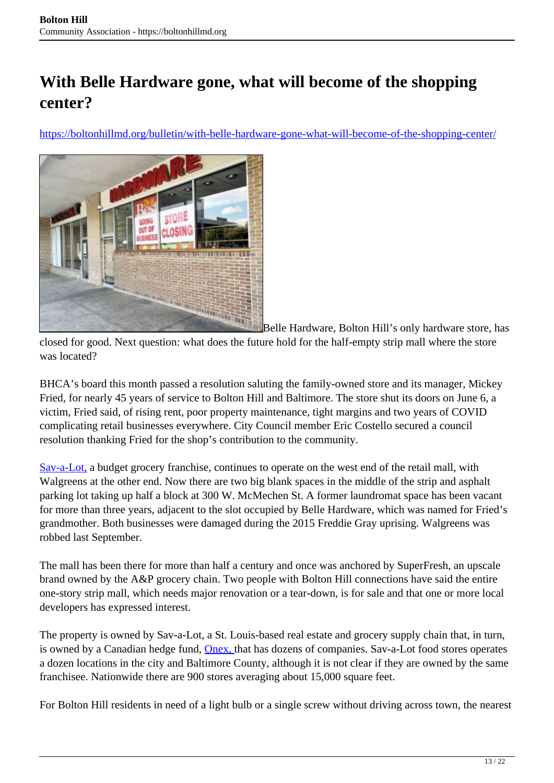# <span id="page-12-0"></span>**With Belle Hardware gone, what will become of the shopping center?**

https://boltonhillmd.org/bulletin/with-belle-hardware-gone-what-will-become-of-the-shopping-center/



Belle Hardware, Bolton Hill's only hardware store, has closed for good. Next question: what does the future hold for the half-empty strip mall where the store was located?

BHCA's board this month passed a resolution saluting the family-owned store and its manager, Mickey Fried, for nearly 45 years of service to Bolton Hill and Baltimore. The store shut its doors on June 6, a victim, Fried said, of rising rent, poor property maintenance, tight margins and two years of COVID complicating retail businesses everywhere. City Council member Eric Costello secured a council resolution thanking Fried for the shop's contribution to the community.

Sav-a-Lot, a budget grocery franchise, continues to operate on the west end of the retail mall, with Walgreens at the other end. Now there are two big blank spaces in the middle of the strip and asphalt parking lot taking up half a block at 300 W. McMechen St. A former laundromat space has been vacant for more than three years, adjacent to the slot occupied by Belle Hardware, which was named for Fried's grandmother. Both businesses were damaged during the 2015 Freddie Gray uprising. Walgreens was robbed last September.

The mall has been there for more than half a century and once was anchored by SuperFresh, an upscale brand owned by the A&P grocery chain. Two people with Bolton Hill connections have said the entire one-story strip mall, which needs major renovation or a tear-down, is for sale and that one or more local developers has expressed interest.

The property is owned by Sav-a-Lot, a St. Louis-based real estate and grocery supply chain that, in turn, is owned by a Canadian hedge fund, Onex, that has dozens of companies. Sav-a-Lot food stores operates a dozen locations in the city and Baltimore County, although it is not clear if they are owned by the same franchisee. Nationwide there are 900 stores averaging about 15,000 square feet.

For Bolton Hill residents in need of a light bulb or a single screw without driving across town, the nearest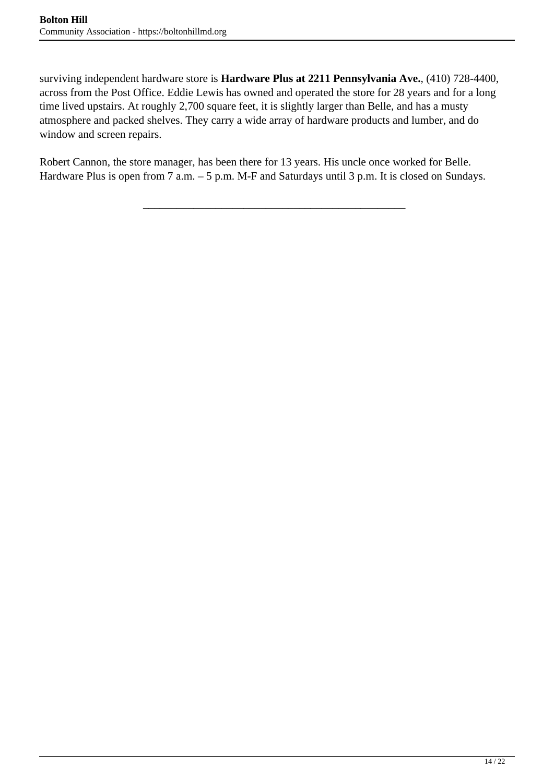surviving independent hardware store is **Hardware Plus at 2211 Pennsylvania Ave.**, (410) 728-4400, across from the Post Office. Eddie Lewis has owned and operated the store for 28 years and for a long time lived upstairs. At roughly 2,700 square feet, it is slightly larger than Belle, and has a musty atmosphere and packed shelves. They carry a wide array of hardware products and lumber, and do window and screen repairs.

Robert Cannon, the store manager, has been there for 13 years. His uncle once worked for Belle. Hardware Plus is open from 7 a.m. – 5 p.m. M-F and Saturdays until 3 p.m. It is closed on Sundays.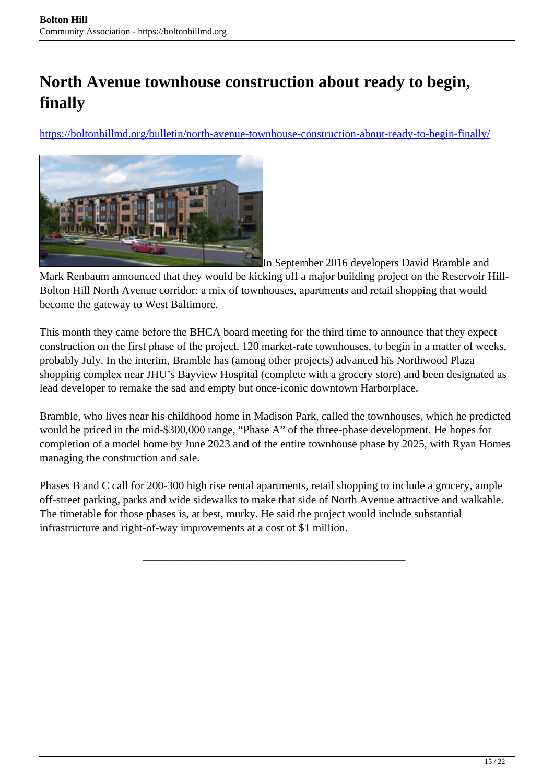# <span id="page-14-0"></span>**North Avenue townhouse construction about ready to begin, finally**

https://boltonhillmd.org/bulletin/north-avenue-townhouse-construction-about-ready-to-begin-finally/



In September 2016 developers David Bramble and

Mark Renbaum announced that they would be kicking off a major building project on the Reservoir Hill-Bolton Hill North Avenue corridor: a mix of townhouses, apartments and retail shopping that would become the gateway to West Baltimore.

This month they came before the BHCA board meeting for the third time to announce that they expect construction on the first phase of the project, 120 market-rate townhouses, to begin in a matter of weeks, probably July. In the interim, Bramble has (among other projects) advanced his Northwood Plaza shopping complex near JHU's Bayview Hospital (complete with a grocery store) and been designated as lead developer to remake the sad and empty but once-iconic downtown Harborplace.

Bramble, who lives near his childhood home in Madison Park, called the townhouses, which he predicted would be priced in the mid-\$300,000 range, "Phase A" of the three-phase development. He hopes for completion of a model home by June 2023 and of the entire townhouse phase by 2025, with Ryan Homes managing the construction and sale.

Phases B and C call for 200-300 high rise rental apartments, retail shopping to include a grocery, ample off-street parking, parks and wide sidewalks to make that side of North Avenue attractive and walkable. The timetable for those phases is, at best, murky. He said the project would include substantial infrastructure and right-of-way improvements at a cost of \$1 million.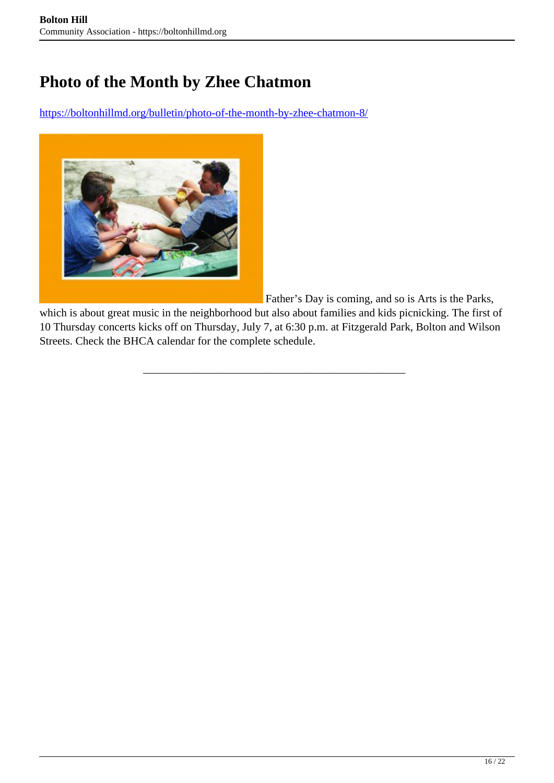## <span id="page-15-0"></span>**Photo of the Month by Zhee Chatmon**

https://boltonhillmd.org/bulletin/photo-of-the-month-by-zhee-chatmon-8/



Father's Day is coming, and so is Arts is the Parks,

which is about great music in the neighborhood but also about families and kids picnicking. The first of 10 Thursday concerts kicks off on Thursday, July 7, at 6:30 p.m. at Fitzgerald Park, Bolton and Wilson Streets. Check the BHCA calendar for the complete schedule.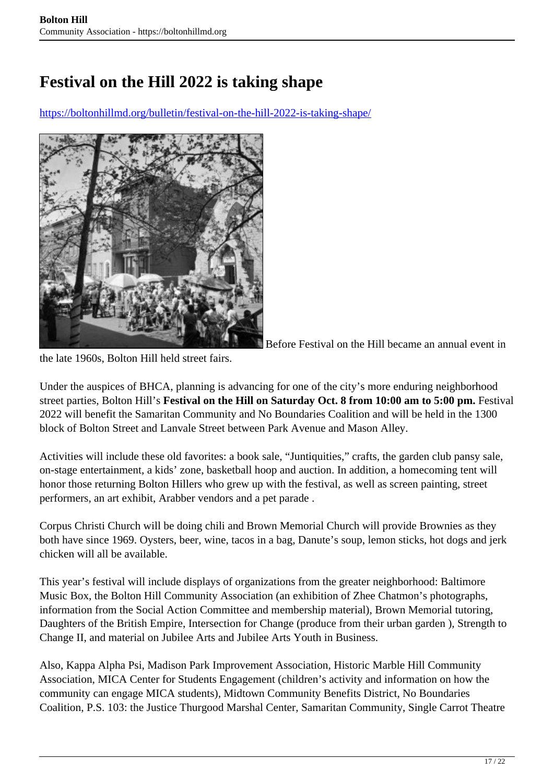# <span id="page-16-0"></span>**Festival on the Hill 2022 is taking shape**

https://boltonhillmd.org/bulletin/festival-on-the-hill-2022-is-taking-shape/



Before Festival on the Hill became an annual event in

the late 1960s, Bolton Hill held street fairs.

Under the auspices of BHCA, planning is advancing for one of the city's more enduring neighborhood street parties, Bolton Hill's **Festival on the Hill on Saturday Oct. 8 from 10:00 am to 5:00 pm.** Festival 2022 will benefit the Samaritan Community and No Boundaries Coalition and will be held in the 1300 block of Bolton Street and Lanvale Street between Park Avenue and Mason Alley.

Activities will include these old favorites: a book sale, "Juntiquities," crafts, the garden club pansy sale, on-stage entertainment, a kids' zone, basketball hoop and auction. In addition, a homecoming tent will honor those returning Bolton Hillers who grew up with the festival, as well as screen painting, street performers, an art exhibit, Arabber vendors and a pet parade .

Corpus Christi Church will be doing chili and Brown Memorial Church will provide Brownies as they both have since 1969. Oysters, beer, wine, tacos in a bag, Danute's soup, lemon sticks, hot dogs and jerk chicken will all be available.

This year's festival will include displays of organizations from the greater neighborhood: Baltimore Music Box, the Bolton Hill Community Association (an exhibition of Zhee Chatmon's photographs, information from the Social Action Committee and membership material), Brown Memorial tutoring, Daughters of the British Empire, Intersection for Change (produce from their urban garden ), Strength to Change II, and material on Jubilee Arts and Jubilee Arts Youth in Business.

Also, Kappa Alpha Psi, Madison Park Improvement Association, Historic Marble Hill Community Association, MICA Center for Students Engagement (children's activity and information on how the community can engage MICA students), Midtown Community Benefits District, No Boundaries Coalition, P.S. 103: the Justice Thurgood Marshal Center, Samaritan Community, Single Carrot Theatre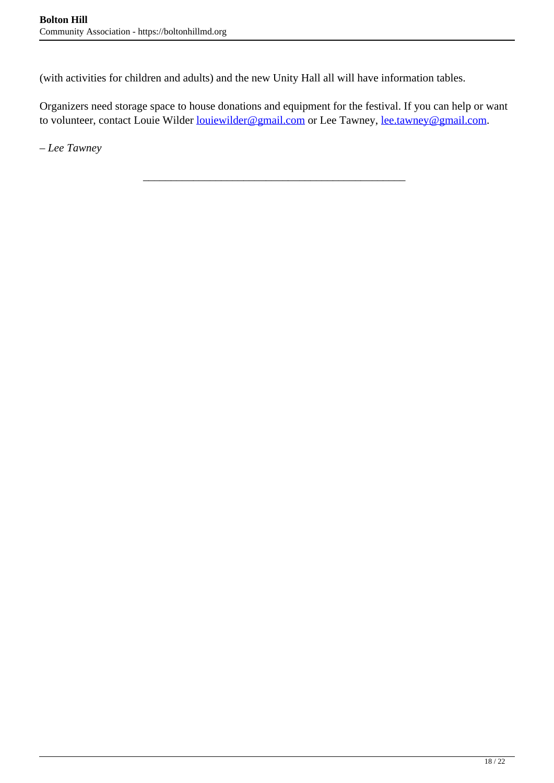(with activities for children and adults) and the new Unity Hall all will have information tables.

Organizers need storage space to house donations and equipment for the festival. If you can help or want to volunteer, contact Louie Wilder <u>louiewilder@gmail.com</u> or Lee Tawney, <u>lee.tawney@gmail.com</u>.

\_\_\_\_\_\_\_\_\_\_\_\_\_\_\_\_\_\_\_\_\_\_\_\_\_\_\_\_\_\_\_\_\_\_\_\_\_\_\_\_\_\_\_\_\_\_\_

– *Lee Tawney*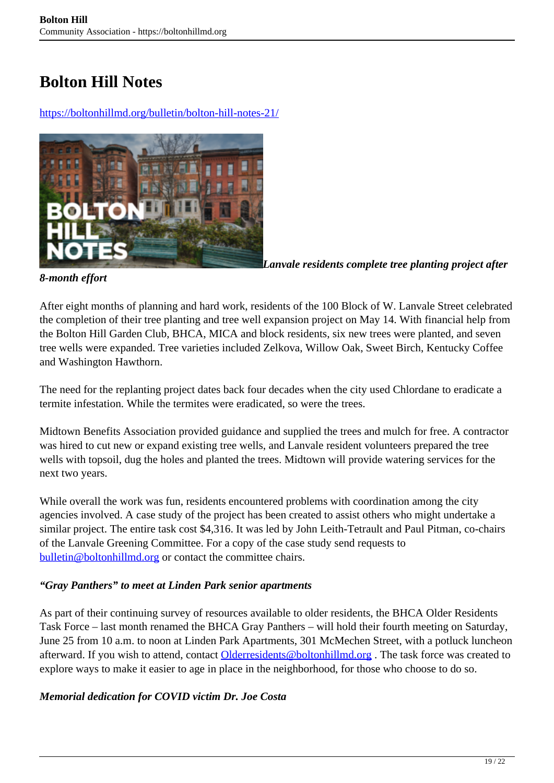### <span id="page-18-0"></span>**Bolton Hill Notes**

https://boltonhillmd.org/bulletin/bolton-hill-notes-21/



*Lanvale residents complete tree planting project after*

#### *8-month effort*

After eight months of planning and hard work, residents of the 100 Block of W. Lanvale Street celebrated the completion of their tree planting and tree well expansion project on May 14. With financial help from the Bolton Hill Garden Club, BHCA, MICA and block residents, six new trees were planted, and seven tree wells were expanded. Tree varieties included Zelkova, Willow Oak, Sweet Birch, Kentucky Coffee and Washington Hawthorn.

The need for the replanting project dates back four decades when the city used Chlordane to eradicate a termite infestation. While the termites were eradicated, so were the trees.

Midtown Benefits Association provided guidance and supplied the trees and mulch for free. A contractor was hired to cut new or expand existing tree wells, and Lanvale resident volunteers prepared the tree wells with topsoil, dug the holes and planted the trees. Midtown will provide watering services for the next two years.

While overall the work was fun, residents encountered problems with coordination among the city agencies involved. A case study of the project has been created to assist others who might undertake a similar project. The entire task cost \$4,316. It was led by John Leith-Tetrault and Paul Pitman, co-chairs of the Lanvale Greening Committee. For a copy of the case study send requests to bulletin@boltonhillmd.org or contact the committee chairs.

#### *"Gray Panthers" to meet at Linden Park senior apartments*

As part of their continuing survey of resources available to older residents, the BHCA Older Residents Task Force – last month renamed the BHCA Gray Panthers – will hold their fourth meeting on Saturday, June 25 from 10 a.m. to noon at Linden Park Apartments, 301 McMechen Street, with a potluck luncheon afterward. If you wish to attend, contact Olderresidents@boltonhillmd.org. The task force was created to explore ways to make it easier to age in place in the neighborhood, for those who choose to do so.

#### *Memorial dedication for COVID victim Dr. Joe Costa*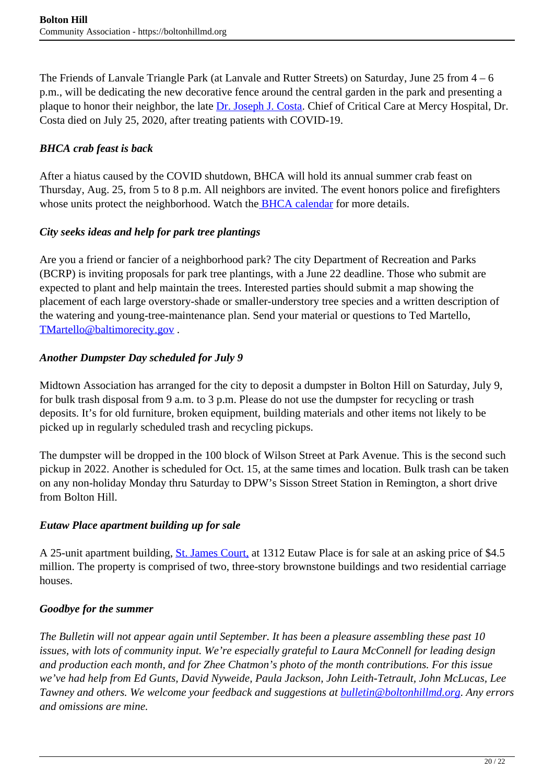The Friends of Lanvale Triangle Park (at Lanvale and Rutter Streets) on Saturday, June 25 from 4 – 6 p.m., will be dedicating the new decorative fence around the central garden in the park and presenting a plaque to honor their neighbor, the late **Dr.** Joseph J. Costa. Chief of Critical Care at Mercy Hospital, Dr. Costa died on July 25, 2020, after treating patients with COVID-19.

### *BHCA crab feast is back*

After a hiatus caused by the COVID shutdown, BHCA will hold its annual summer crab feast on Thursday, Aug. 25, from 5 to 8 p.m. All neighbors are invited. The event honors police and firefighters whose units protect the neighborhood. Watch the **BHCA calendar** for more details.

### *City seeks ideas and help for park tree plantings*

Are you a friend or fancier of a neighborhood park? The city Department of Recreation and Parks (BCRP) is inviting proposals for park tree plantings, with a June 22 deadline. Those who submit are expected to plant and help maintain the trees. Interested parties should submit a map showing the placement of each large overstory-shade or smaller-understory tree species and a written description of the watering and young-tree-maintenance plan. Send your material or questions to Ted Martello, TMartello@baltimorecity.gov.

### *Another Dumpster Day scheduled for July 9*

Midtown Association has arranged for the city to deposit a dumpster in Bolton Hill on Saturday, July 9, for bulk trash disposal from 9 a.m. to 3 p.m. Please do not use the dumpster for recycling or trash deposits. It's for old furniture, broken equipment, building materials and other items not likely to be picked up in regularly scheduled trash and recycling pickups.

The dumpster will be dropped in the 100 block of Wilson Street at Park Avenue. This is the second such pickup in 2022. Another is scheduled for Oct. 15, at the same times and location. Bulk trash can be taken on any non-holiday Monday thru Saturday to DPW's Sisson Street Station in Remington, a short drive from Bolton Hill.

#### *Eutaw Place apartment building up for sale*

A 25-unit apartment building, St. James Court, at 1312 Eutaw Place is for sale at an asking price of \$4.5 million. The property is comprised of two, three-story brownstone buildings and two residential carriage houses.

### *Goodbye for the summer*

*The Bulletin will not appear again until September. It has been a pleasure assembling these past 10 issues, with lots of community input. We're especially grateful to Laura McConnell for leading design and production each month, and for Zhee Chatmon's photo of the month contributions. For this issue we've had help from Ed Gunts, David Nyweide, Paula Jackson, John Leith-Tetrault, John McLucas, Lee Tawney and others. We welcome your feedback and suggestions at bulletin@boltonhillmd.org*. *Any errors and omissions are mine.*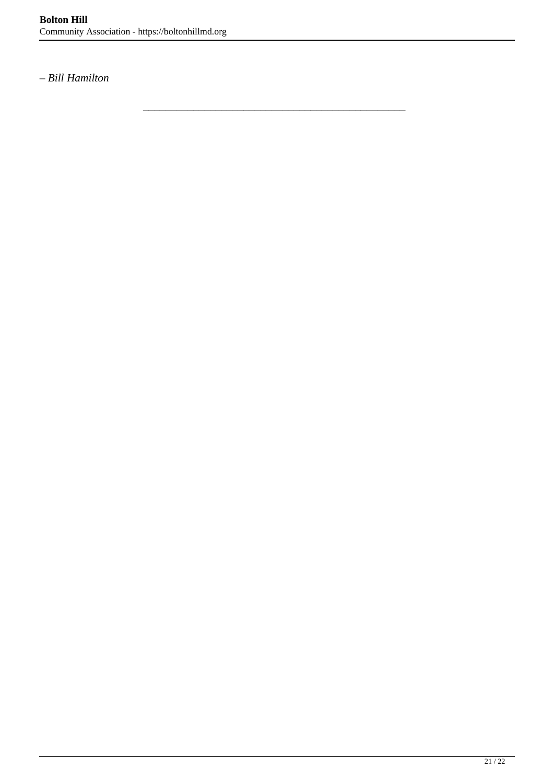\_\_\_\_\_\_\_\_\_\_\_\_\_\_\_\_\_\_\_\_\_\_\_\_\_\_\_\_\_\_\_\_\_\_\_\_\_\_\_\_\_\_\_\_\_\_\_

*– Bill Hamilton*